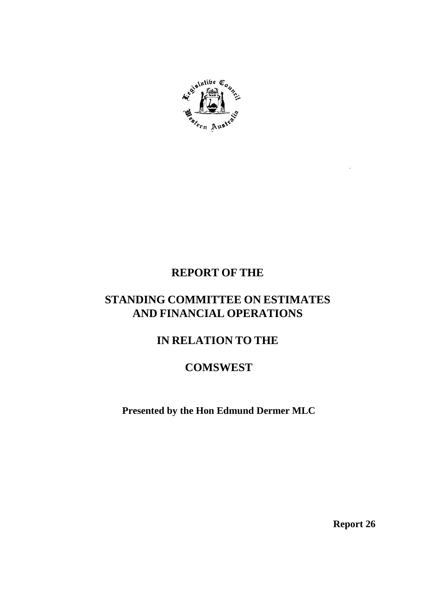

# **REPORT OF THE**

# **STANDING COMMITTEE ON ESTIMATES AND FINANCIAL OPERATIONS**

# **IN RELATION TO THE**

# **COMSWEST**

**Presented by the Hon Edmund Dermer MLC**

**Report 26**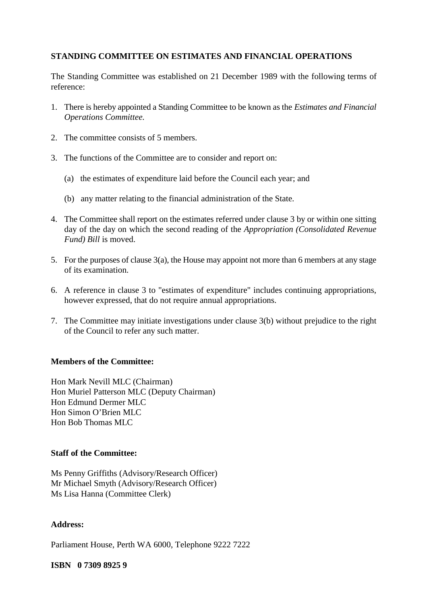### **STANDING COMMITTEE ON ESTIMATES AND FINANCIAL OPERATIONS**

The Standing Committee was established on 21 December 1989 with the following terms of reference:

- 1. There is hereby appointed a Standing Committee to be known as the *Estimates and Financial Operations Committee.*
- 2. The committee consists of 5 members.
- 3. The functions of the Committee are to consider and report on:
	- (a) the estimates of expenditure laid before the Council each year; and
	- (b) any matter relating to the financial administration of the State.
- 4. The Committee shall report on the estimates referred under clause 3 by or within one sitting day of the day on which the second reading of the *Appropriation (Consolidated Revenue Fund) Bill* is moved.
- 5. For the purposes of clause 3(a), the House may appoint not more than 6 members at any stage of its examination.
- 6. A reference in clause 3 to "estimates of expenditure" includes continuing appropriations, however expressed, that do not require annual appropriations.
- 7. The Committee may initiate investigations under clause 3(b) without prejudice to the right of the Council to refer any such matter.

## **Members of the Committee:**

Hon Mark Nevill MLC (Chairman) Hon Muriel Patterson MLC (Deputy Chairman) Hon Edmund Dermer MLC Hon Simon O'Brien MLC Hon Bob Thomas MLC

#### **Staff of the Committee:**

Ms Penny Griffiths (Advisory/Research Officer) Mr Michael Smyth (Advisory/Research Officer) Ms Lisa Hanna (Committee Clerk)

#### **Address:**

Parliament House, Perth WA 6000, Telephone 9222 7222

#### **ISBN 0 7309 8925 9**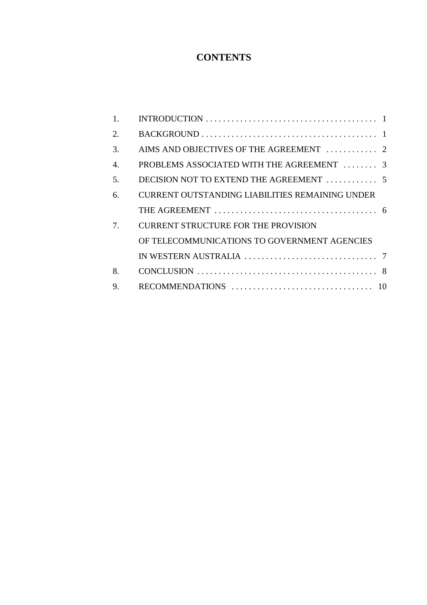# **CONTENTS**

| 1. | INTRODUCTION $\ldots \ldots \ldots \ldots \ldots \ldots \ldots \ldots \ldots \ldots \ldots \ldots \ldots$ |
|----|-----------------------------------------------------------------------------------------------------------|
| 2. |                                                                                                           |
| 3. | AIMS AND OBJECTIVES OF THE AGREEMENT  2                                                                   |
| 4. | PROBLEMS ASSOCIATED WITH THE AGREEMENT  3                                                                 |
| 5. |                                                                                                           |
| 6. | <b>CURRENT OUTSTANDING LIABILITIES REMAINING UNDER</b>                                                    |
|    |                                                                                                           |
| 7. | <b>CURRENT STRUCTURE FOR THE PROVISION</b>                                                                |
|    | OF TELECOMMUNICATIONS TO GOVERNMENT AGENCIES                                                              |
|    | IN WESTERN AUSTRALIA $\ldots \ldots \ldots \ldots \ldots \ldots \ldots \ldots$                            |
| 8. |                                                                                                           |
| 9. |                                                                                                           |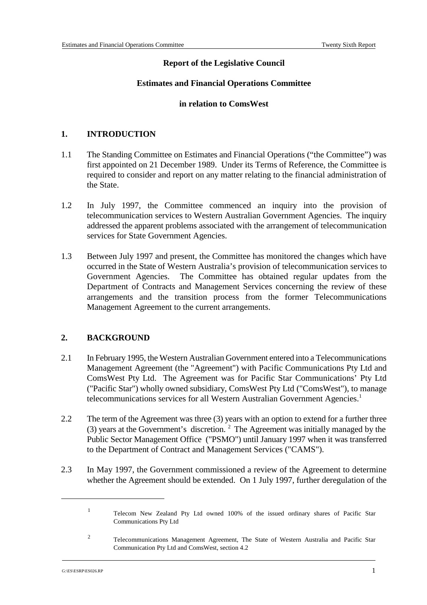## **Report of the Legislative Council**

### **Estimates and Financial Operations Committee**

#### **in relation to ComsWest**

## **1. INTRODUCTION**

- 1.1 The Standing Committee on Estimates and Financial Operations ("the Committee") was first appointed on 21 December 1989. Under its Terms of Reference, the Committee is required to consider and report on any matter relating to the financial administration of the State.
- 1.2 In July 1997, the Committee commenced an inquiry into the provision of telecommunication services to Western Australian Government Agencies. The inquiry addressed the apparent problems associated with the arrangement of telecommunication services for State Government Agencies.
- 1.3 Between July 1997 and present, the Committee has monitored the changes which have occurred in the State of Western Australia's provision of telecommunication services to Government Agencies. The Committee has obtained regular updates from the Department of Contracts and Management Services concerning the review of these arrangements and the transition process from the former Telecommunications Management Agreement to the current arrangements.

## **2. BACKGROUND**

- 2.1 In February 1995, the Western Australian Government entered into a Telecommunications Management Agreement (the "Agreement") with Pacific Communications Pty Ltd and ComsWest Pty Ltd. The Agreement was for Pacific Star Communications' Pty Ltd ("Pacific Star") wholly owned subsidiary, ComsWest Pty Ltd ("ComsWest"), to manage telecommunications services for all Western Australian Government Agencies.<sup>1</sup>
- 2.2 The term of the Agreement was three (3) years with an option to extend for a further three (3) years at the Government's discretion.  $2^2$  The Agreement was initially managed by the Public Sector Management Office ("PSMO") until January 1997 when it was transferred to the Department of Contract and Management Services ("CAMS").
- 2.3 In May 1997, the Government commissioned a review of the Agreement to determine whether the Agreement should be extended. On 1 July 1997, further deregulation of the

<sup>&</sup>lt;sup>1</sup> Telecom New Zealand Pty Ltd owned 100% of the issued ordinary shares of Pacific Star Communications Pty Ltd

Telecommunications Management Agreement, The State of Western Australia and Pacific Star <sup>2</sup> Communication Pty Ltd and ComsWest, section 4.2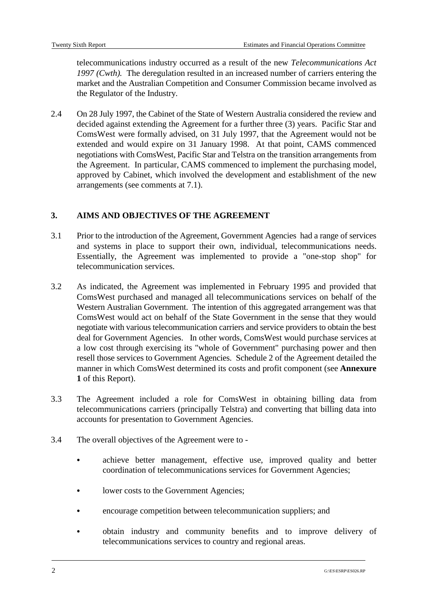telecommunications industry occurred as a result of the new *Telecommunications Act 1997 (Cwth).* The deregulation resulted in an increased number of carriers entering the market and the Australian Competition and Consumer Commission became involved as the Regulator of the Industry.

2.4 On 28 July 1997, the Cabinet of the State of Western Australia considered the review and decided against extending the Agreement for a further three (3) years. Pacific Star and ComsWest were formally advised, on 31 July 1997, that the Agreement would not be extended and would expire on 31 January 1998. At that point, CAMS commenced negotiations with ComsWest, Pacific Star and Telstra on the transition arrangements from the Agreement. In particular, CAMS commenced to implement the purchasing model, approved by Cabinet, which involved the development and establishment of the new arrangements (see comments at 7.1).

# **3. AIMS AND OBJECTIVES OF THE AGREEMENT**

- 3.1 Prior to the introduction of the Agreement, Government Agencies had a range of services and systems in place to support their own, individual, telecommunications needs. Essentially, the Agreement was implemented to provide a "one-stop shop" for telecommunication services.
- 3.2 As indicated, the Agreement was implemented in February 1995 and provided that ComsWest purchased and managed all telecommunications services on behalf of the Western Australian Government. The intention of this aggregated arrangement was that ComsWest would act on behalf of the State Government in the sense that they would negotiate with various telecommunication carriers and service providers to obtain the best deal for Government Agencies. In other words, ComsWest would purchase services at a low cost through exercising its "whole of Government" purchasing power and then resell those services to Government Agencies. Schedule 2 of the Agreement detailed the manner in which ComsWest determined its costs and profit component (see **Annexure 1** of this Report).
- 3.3 The Agreement included a role for ComsWest in obtaining billing data from telecommunications carriers (principally Telstra) and converting that billing data into accounts for presentation to Government Agencies.
- 3.4 The overall objectives of the Agreement were to
	- & achieve better management, effective use, improved quality and better coordination of telecommunications services for Government Agencies;
	- & lower costs to the Government Agencies;
	- & encourage competition between telecommunication suppliers; and
	- & obtain industry and community benefits and to improve delivery of telecommunications services to country and regional areas.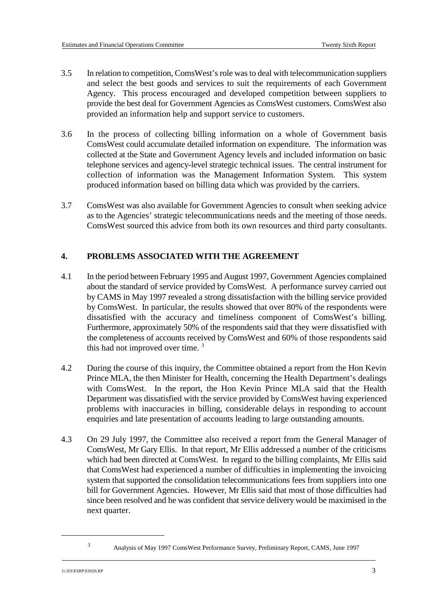- 3.5 In relation to competition, ComsWest's role was to deal with telecommunication suppliers and select the best goods and services to suit the requirements of each Government Agency. This process encouraged and developed competition between suppliers to provide the best deal for Government Agencies as ComsWest customers. ComsWest also provided an information help and support service to customers.
- 3.6 In the process of collecting billing information on a whole of Government basis ComsWest could accumulate detailed information on expenditure. The information was collected at the State and Government Agency levels and included information on basic telephone services and agency-level strategic technical issues. The central instrument for collection of information was the Management Information System. This system produced information based on billing data which was provided by the carriers.
- 3.7 ComsWest was also available for Government Agencies to consult when seeking advice as to the Agencies' strategic telecommunications needs and the meeting of those needs. ComsWest sourced this advice from both its own resources and third party consultants.

## **4. PROBLEMS ASSOCIATED WITH THE AGREEMENT**

- 4.1 In the period between February 1995 and August 1997, Government Agencies complained about the standard of service provided by ComsWest. A performance survey carried out by CAMS in May 1997 revealed a strong dissatisfaction with the billing service provided by ComsWest. In particular, the results showed that over 80% of the respondents were dissatisfied with the accuracy and timeliness component of ComsWest's billing. Furthermore, approximately 50% of the respondents said that they were dissatisfied with the completeness of accounts received by ComsWest and 60% of those respondents said this had not improved over time. 3
- 4.2 During the course of this inquiry, the Committee obtained a report from the Hon Kevin Prince MLA, the then Minister for Health, concerning the Health Department's dealings with ComsWest. In the report, the Hon Kevin Prince MLA said that the Health Department was dissatisfied with the service provided by ComsWest having experienced problems with inaccuracies in billing, considerable delays in responding to account enquiries and late presentation of accounts leading to large outstanding amounts.
- 4.3 On 29 July 1997, the Committee also received a report from the General Manager of ComsWest, Mr Gary Ellis. In that report, Mr Ellis addressed a number of the criticisms which had been directed at ComsWest. In regard to the billing complaints, Mr Ellis said that ComsWest had experienced a number of difficulties in implementing the invoicing system that supported the consolidation telecommunications fees from suppliers into one bill for Government Agencies. However, Mr Ellis said that most of those difficulties had since been resolved and he was confident that service delivery would be maximised in the next quarter.

Analysis of May 1997 ComsWest Performance Survey, Preliminary Report, CAMS, June 1997 <sup>3</sup>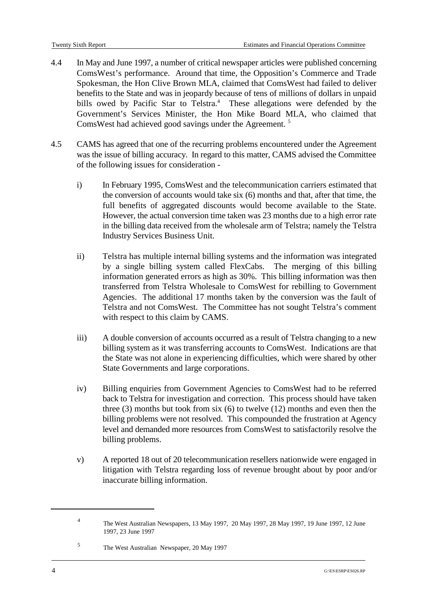- 4.4 In May and June 1997, a number of critical newspaper articles were published concerning ComsWest's performance. Around that time, the Opposition's Commerce and Trade Spokesman, the Hon Clive Brown MLA, claimed that ComsWest had failed to deliver benefits to the State and was in jeopardy because of tens of millions of dollars in unpaid bills owed by Pacific Star to Telstra.<sup>4</sup> These allegations were defended by the Government's Services Minister, the Hon Mike Board MLA, who claimed that ComsWest had achieved good savings under the Agreement.<sup>5</sup>
- 4.5 CAMS has agreed that one of the recurring problems encountered under the Agreement was the issue of billing accuracy. In regard to this matter, CAMS advised the Committee of the following issues for consideration
	- i) In February 1995, ComsWest and the telecommunication carriers estimated that the conversion of accounts would take six (6) months and that, after that time, the full benefits of aggregated discounts would become available to the State. However, the actual conversion time taken was 23 months due to a high error rate in the billing data received from the wholesale arm of Telstra; namely the Telstra Industry Services Business Unit.
	- ii) Telstra has multiple internal billing systems and the information was integrated by a single billing system called FlexCabs. The merging of this billing information generated errors as high as 30%. This billing information was then transferred from Telstra Wholesale to ComsWest for rebilling to Government Agencies. The additional 17 months taken by the conversion was the fault of Telstra and not ComsWest. The Committee has not sought Telstra's comment with respect to this claim by CAMS.
	- iii) A double conversion of accounts occurred as a result of Telstra changing to a new billing system as it was transferring accounts to ComsWest. Indications are that the State was not alone in experiencing difficulties, which were shared by other State Governments and large corporations.
	- iv) Billing enquiries from Government Agencies to ComsWest had to be referred back to Telstra for investigation and correction. This process should have taken three (3) months but took from six (6) to twelve (12) months and even then the billing problems were not resolved. This compounded the frustration at Agency level and demanded more resources from ComsWest to satisfactorily resolve the billing problems.
	- v) A reported 18 out of 20 telecommunication resellers nationwide were engaged in litigation with Telstra regarding loss of revenue brought about by poor and/or inaccurate billing information.

The West Australian Newspapers, 13 May 1997, 20 May 1997, 28 May 1997, 19 June 1997, 12 June <sup>4</sup> 1997, 23 June 1997

The West Australian Newspaper, 20 May 1997 <sup>5</sup>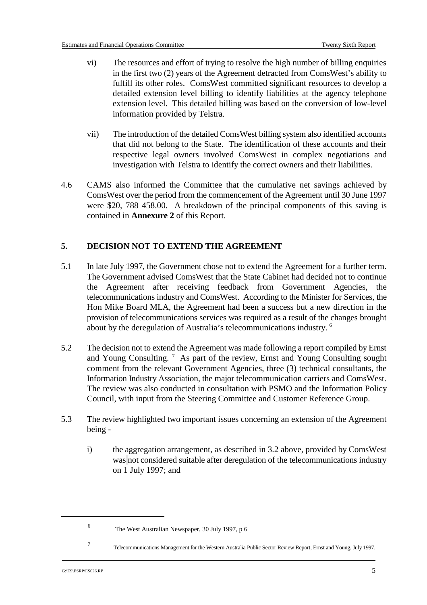- vi) The resources and effort of trying to resolve the high number of billing enquiries in the first two (2) years of the Agreement detracted from ComsWest's ability to fulfill its other roles. ComsWest committed significant resources to develop a detailed extension level billing to identify liabilities at the agency telephone extension level. This detailed billing was based on the conversion of low-level information provided by Telstra.
- vii) The introduction of the detailed ComsWest billing system also identified accounts that did not belong to the State. The identification of these accounts and their respective legal owners involved ComsWest in complex negotiations and investigation with Telstra to identify the correct owners and their liabilities.
- 4.6 CAMS also informed the Committee that the cumulative net savings achieved by ComsWest over the period from the commencement of the Agreement until 30 June 1997 were \$20, 788 458.00. A breakdown of the principal components of this saving is contained in **Annexure 2** of this Report.

# **5. DECISION NOT TO EXTEND THE AGREEMENT**

- 5.1 In late July 1997, the Government chose not to extend the Agreement for a further term. The Government advised ComsWest that the State Cabinet had decided not to continue the Agreement after receiving feedback from Government Agencies, the telecommunications industry and ComsWest. According to the Minister for Services, the Hon Mike Board MLA, the Agreement had been a success but a new direction in the provision of telecommunications services was required as a result of the changes brought about by the deregulation of Australia's telecommunications industry. 6
- 5.2 The decision not to extend the Agreement was made following a report compiled by Ernst and Young Consulting.  $\frac{7}{1}$  As part of the review, Ernst and Young Consulting sought comment from the relevant Government Agencies, three (3) technical consultants, the Information Industry Association, the major telecommunication carriers and ComsWest. The review was also conducted in consultation with PSMO and the Information Policy Council, with input from the Steering Committee and Customer Reference Group.
- 5.3 The review highlighted two important issues concerning an extension of the Agreement being
	- i) the aggregation arrangement, as described in 3.2 above, provided by ComsWest was not considered suitable after deregulation of the telecommunications industry on 1 July 1997; and

The West Australian Newspaper, 30 July 1997, p 6 <sup>6</sup>

Telecommunications Management for the Western Australia Public Sector Review Report, Ernst and Young, July 1997. <sup>7</sup>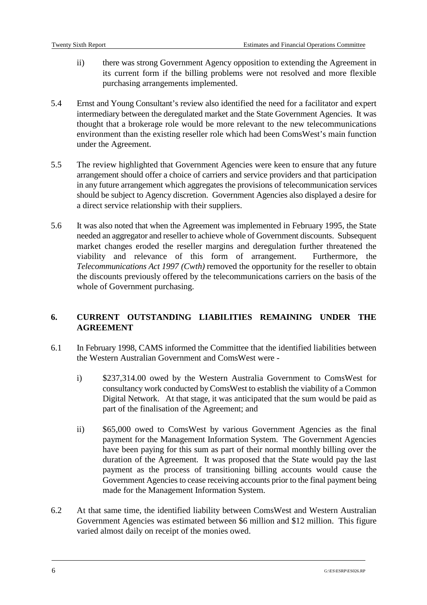- ii) there was strong Government Agency opposition to extending the Agreement in its current form if the billing problems were not resolved and more flexible purchasing arrangements implemented.
- 5.4 Ernst and Young Consultant's review also identified the need for a facilitator and expert intermediary between the deregulated market and the State Government Agencies. It was thought that a brokerage role would be more relevant to the new telecommunications environment than the existing reseller role which had been ComsWest's main function under the Agreement.
- 5.5 The review highlighted that Government Agencies were keen to ensure that any future arrangement should offer a choice of carriers and service providers and that participation in any future arrangement which aggregates the provisions of telecommunication services should be subject to Agency discretion. Government Agencies also displayed a desire for a direct service relationship with their suppliers.
- 5.6 It was also noted that when the Agreement was implemented in February 1995, the State needed an aggregator and reseller to achieve whole of Government discounts. Subsequent market changes eroded the reseller margins and deregulation further threatened the viability and relevance of this form of arrangement. Furthermore, the *Telecommunications Act 1997 (Cwth)* removed the opportunity for the reseller to obtain the discounts previously offered by the telecommunications carriers on the basis of the whole of Government purchasing.

# **6. CURRENT OUTSTANDING LIABILITIES REMAINING UNDER THE AGREEMENT**

- 6.1 In February 1998, CAMS informed the Committee that the identified liabilities between the Western Australian Government and ComsWest were
	- i) \$237,314.00 owed by the Western Australia Government to ComsWest for consultancy work conducted by ComsWest to establish the viability of a Common Digital Network. At that stage, it was anticipated that the sum would be paid as part of the finalisation of the Agreement; and
	- ii) \$65,000 owed to ComsWest by various Government Agencies as the final payment for the Management Information System. The Government Agencies have been paying for this sum as part of their normal monthly billing over the duration of the Agreement. It was proposed that the State would pay the last payment as the process of transitioning billing accounts would cause the Government Agencies to cease receiving accounts prior to the final payment being made for the Management Information System.
- 6.2 At that same time, the identified liability between ComsWest and Western Australian Government Agencies was estimated between \$6 million and \$12 million. This figure varied almost daily on receipt of the monies owed.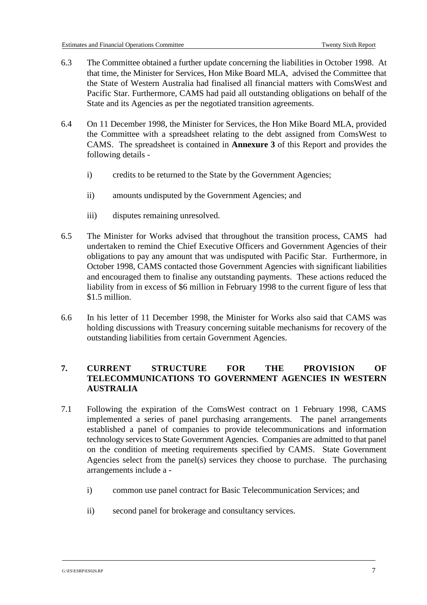- 6.3 The Committee obtained a further update concerning the liabilities in October 1998. At that time, the Minister for Services, Hon Mike Board MLA, advised the Committee that the State of Western Australia had finalised all financial matters with ComsWest and Pacific Star. Furthermore, CAMS had paid all outstanding obligations on behalf of the State and its Agencies as per the negotiated transition agreements.
- 6.4 On 11 December 1998, the Minister for Services, the Hon Mike Board MLA, provided the Committee with a spreadsheet relating to the debt assigned from ComsWest to CAMS. The spreadsheet is contained in **Annexure 3** of this Report and provides the following details
	- i) credits to be returned to the State by the Government Agencies;
	- ii) amounts undisputed by the Government Agencies; and
	- iii) disputes remaining unresolved.
- 6.5 The Minister for Works advised that throughout the transition process, CAMS had undertaken to remind the Chief Executive Officers and Government Agencies of their obligations to pay any amount that was undisputed with Pacific Star. Furthermore, in October 1998, CAMS contacted those Government Agencies with significant liabilities and encouraged them to finalise any outstanding payments. These actions reduced the liability from in excess of \$6 million in February 1998 to the current figure of less that \$1.5 million.
- 6.6 In his letter of 11 December 1998, the Minister for Works also said that CAMS was holding discussions with Treasury concerning suitable mechanisms for recovery of the outstanding liabilities from certain Government Agencies.

# **7. CURRENT STRUCTURE FOR THE PROVISION OF TELECOMMUNICATIONS TO GOVERNMENT AGENCIES IN WESTERN AUSTRALIA**

- 7.1 Following the expiration of the ComsWest contract on 1 February 1998, CAMS implemented a series of panel purchasing arrangements. The panel arrangements established a panel of companies to provide telecommunications and information technology services to State Government Agencies. Companies are admitted to that panel on the condition of meeting requirements specified by CAMS. State Government Agencies select from the panel(s) services they choose to purchase. The purchasing arrangements include a
	- i) common use panel contract for Basic Telecommunication Services; and
	- ii) second panel for brokerage and consultancy services.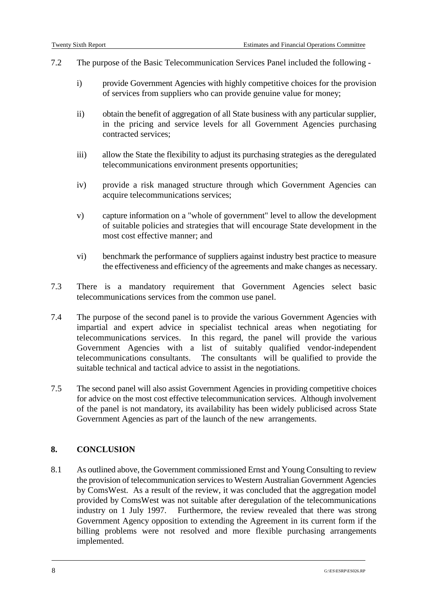- 7.2 The purpose of the Basic Telecommunication Services Panel included the following
	- i) provide Government Agencies with highly competitive choices for the provision of services from suppliers who can provide genuine value for money;
	- ii) obtain the benefit of aggregation of all State business with any particular supplier, in the pricing and service levels for all Government Agencies purchasing contracted services;
	- iii) allow the State the flexibility to adjust its purchasing strategies as the deregulated telecommunications environment presents opportunities;
	- iv) provide a risk managed structure through which Government Agencies can acquire telecommunications services;
	- v) capture information on a "whole of government" level to allow the development of suitable policies and strategies that will encourage State development in the most cost effective manner; and
	- vi) benchmark the performance of suppliers against industry best practice to measure the effectiveness and efficiency of the agreements and make changes as necessary.
- 7.3 There is a mandatory requirement that Government Agencies select basic telecommunications services from the common use panel.
- 7.4 The purpose of the second panel is to provide the various Government Agencies with impartial and expert advice in specialist technical areas when negotiating for telecommunications services. In this regard, the panel will provide the various Government Agencies with a list of suitably qualified vendor-independent telecommunications consultants. The consultants will be qualified to provide the suitable technical and tactical advice to assist in the negotiations.
- 7.5 The second panel will also assist Government Agencies in providing competitive choices for advice on the most cost effective telecommunication services. Although involvement of the panel is not mandatory, its availability has been widely publicised across State Government Agencies as part of the launch of the new arrangements.

## **8. CONCLUSION**

8.1 As outlined above, the Government commissioned Ernst and Young Consulting to review the provision of telecommunication services to Western Australian Government Agencies by ComsWest. As a result of the review, it was concluded that the aggregation model provided by ComsWest was not suitable after deregulation of the telecommunications industry on 1 July 1997. Furthermore, the review revealed that there was strong Government Agency opposition to extending the Agreement in its current form if the billing problems were not resolved and more flexible purchasing arrangements implemented.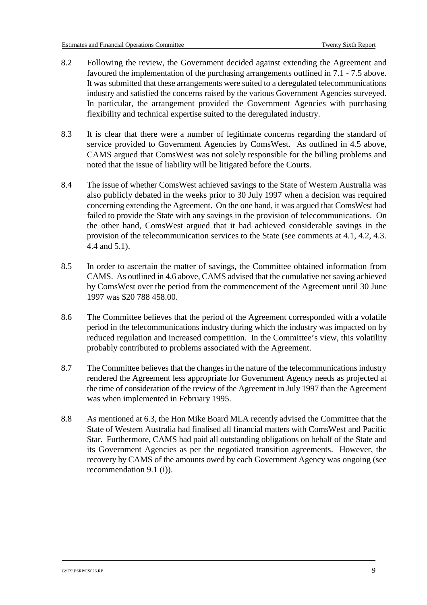- 8.2 Following the review, the Government decided against extending the Agreement and favoured the implementation of the purchasing arrangements outlined in 7.1 - 7.5 above. It was submitted that these arrangements were suited to a deregulated telecommunications industry and satisfied the concerns raised by the various Government Agencies surveyed. In particular, the arrangement provided the Government Agencies with purchasing flexibility and technical expertise suited to the deregulated industry.
- 8.3 It is clear that there were a number of legitimate concerns regarding the standard of service provided to Government Agencies by ComsWest. As outlined in 4.5 above, CAMS argued that ComsWest was not solely responsible for the billing problems and noted that the issue of liability will be litigated before the Courts.
- 8.4 The issue of whether ComsWest achieved savings to the State of Western Australia was also publicly debated in the weeks prior to 30 July 1997 when a decision was required concerning extending the Agreement. On the one hand, it was argued that ComsWest had failed to provide the State with any savings in the provision of telecommunications. On the other hand, ComsWest argued that it had achieved considerable savings in the provision of the telecommunication services to the State (see comments at 4.1, 4.2, 4.3. 4.4 and 5.1).
- 8.5 In order to ascertain the matter of savings, the Committee obtained information from CAMS. As outlined in 4.6 above, CAMS advised that the cumulative net saving achieved by ComsWest over the period from the commencement of the Agreement until 30 June 1997 was \$20 788 458.00.
- 8.6 The Committee believes that the period of the Agreement corresponded with a volatile period in the telecommunications industry during which the industry was impacted on by reduced regulation and increased competition. In the Committee's view, this volatility probably contributed to problems associated with the Agreement.
- 8.7 The Committee believes that the changes in the nature of the telecommunications industry rendered the Agreement less appropriate for Government Agency needs as projected at the time of consideration of the review of the Agreement in July 1997 than the Agreement was when implemented in February 1995.
- 8.8 As mentioned at 6.3, the Hon Mike Board MLA recently advised the Committee that the State of Western Australia had finalised all financial matters with ComsWest and Pacific Star. Furthermore, CAMS had paid all outstanding obligations on behalf of the State and its Government Agencies as per the negotiated transition agreements. However, the recovery by CAMS of the amounts owed by each Government Agency was ongoing (see recommendation 9.1 (i)).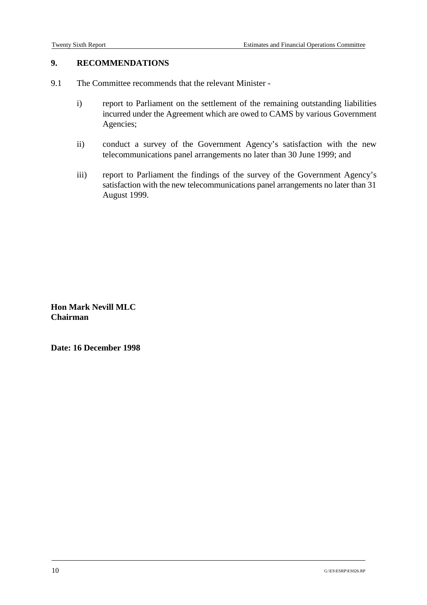## **9. RECOMMENDATIONS**

- 9.1 The Committee recommends that the relevant Minister
	- i) report to Parliament on the settlement of the remaining outstanding liabilities incurred under the Agreement which are owed to CAMS by various Government Agencies;
	- ii) conduct a survey of the Government Agency's satisfaction with the new telecommunications panel arrangements no later than 30 June 1999; and
	- iii) report to Parliament the findings of the survey of the Government Agency's satisfaction with the new telecommunications panel arrangements no later than 31 August 1999.

**Hon Mark Nevill MLC Chairman**

**Date: 16 December 1998**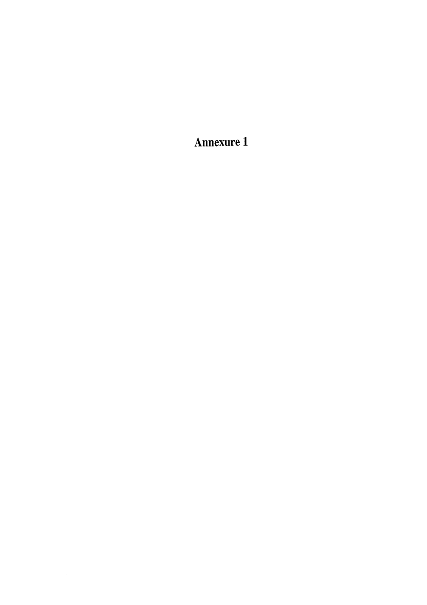Annexure 1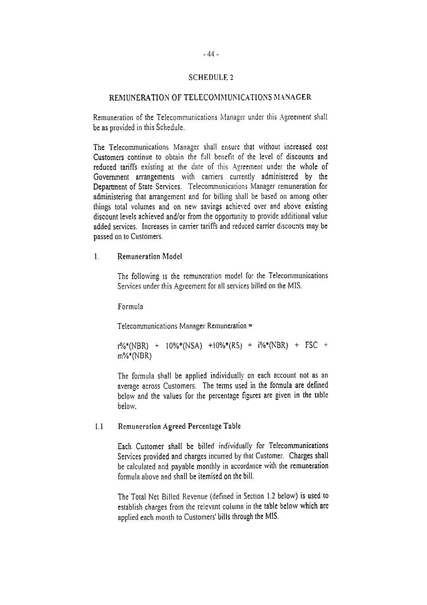#### **SCHEDULE 2**

#### REMUNERATION OF TELECOMMUNICATIONS MANAGER

Remuneration of the Telecommunications Manager under this Agreement shall be as provided in this Schedule.

The Telecommunications Manager shall ensure that without increased cost Customers continue to obtain the full benefit of the level of discounts and reduced tariffs existing at the date of this Agreement under the whole of Government arrangements with carriers currently administered by the Department of State Services. Telecommunications Manager remuneration for administering that arrangement and for billing shall be based on among other things total volumes and on new savings achieved over and above existing discount levels achieved and/or from the opportunity to provide additional value added services. Increases in carrier tariffs and reduced carrier discounts may be passed on to Customers.

#### $\mathbf{1}$ . **Remuneration Model**

The following is the remuneration model for the Telecommunications Services under this Agreement for all services billed on the MIS.

Formula

Telecommunications Manager Remuneration =

 $1\%*(NBR)$  +  $10\%*(NSA)$  +  $10\%*(RS)$  +  $i\%*(NBR)$  + FSC +  $m\%*(NBR)$ 

The formula shall be applied individually on each account not as an average across Customers. The terms used in the formula are defined below and the values for the percentage figures are given in the table below.

#### Remuneration Agreed Percentage Table  $1.1$

Each Customer shall be billed individually for Telecommunications Services provided and charges incurred by that Customer. Charges shall be calculated and payable monthly in accordance with the remuneration formula above and shall be itemised on the bill.

The Total Net Billed Revenue (defined in Section 1.2 below) is used to establish charges from the relevant column in the table below which are applied each month to Customers' bills through the MIS.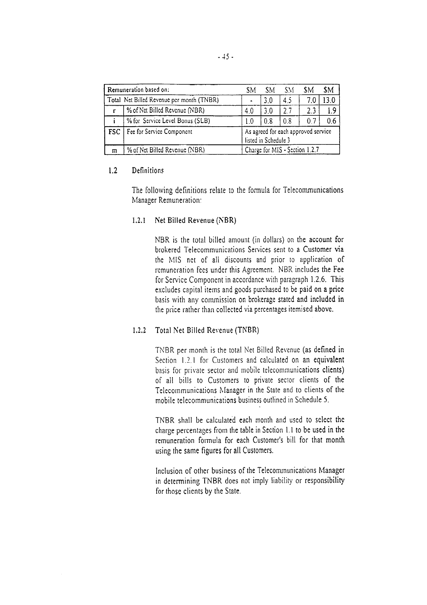|   | Remuneration based on:                    | SΜ                                                          | SΜ  | SМ  | SΜ  | <b>SM</b> |  |  |  |
|---|-------------------------------------------|-------------------------------------------------------------|-----|-----|-----|-----------|--|--|--|
|   | Total Net Billed Revenue per month (TNBR) |                                                             | 3.0 | 4.5 | 7.0 | 13.0      |  |  |  |
| r | % of Net Billed Revenue (NBR)             | 4.0                                                         | 3.0 | 2.7 | 2.3 | 1.9       |  |  |  |
|   | % for Service Level Bonus (SLB)           | 1.0                                                         | 0.8 | 0.8 | 0.7 | 0.6       |  |  |  |
|   | <b>FSC</b>   Fee for Service Component    | As agreed for each approved service<br>listed in Schedule 3 |     |     |     |           |  |  |  |
| m | % of Net Billed Revenue (NBR)             | Charge for MIS - Section 1.2.7                              |     |     |     |           |  |  |  |

#### $1.2$ **Definitions**

The following definitions relate to the formula for Telecommunications Manager Remuneration:

1.2.1 Net Billed Revenue (NBR)

NBR is the total billed amount (in dollars) on the account for brokered Telecommunications Services sent to a Customer via the MIS net of all discounts and prior to application of remuneration fees under this Agreement. NBR includes the Fee for Service Component in accordance with paragraph 1.2.6. This excludes capital items and goods purchased to be paid on a price basis with any commission on brokerage stated and included in the price rather than collected via percentages itemised above.

#### 1.2.2 Total Net Billed Revenue (TNBR)

TNBR per month is the total Net Billed Revenue (as defined in Section 1.2.1 for Customers and calculated on an equivalent basis for private sector and mobile telecommunications clients) of all bills to Customers to private sector clients of the Telecommunications Manager in the State and to clients of the mobile telecommunications business outlined in Schedule 5.

TNBR shall be calculated each month and used to select the charge percentages from the table in Section 1.1 to be used in the remuneration formula for each Customer's bill for that month using the same figures for all Customers.

Inclusion of other business of the Telecommunications Manager in determining TNBR does not imply liability or responsibility for those clients by the State.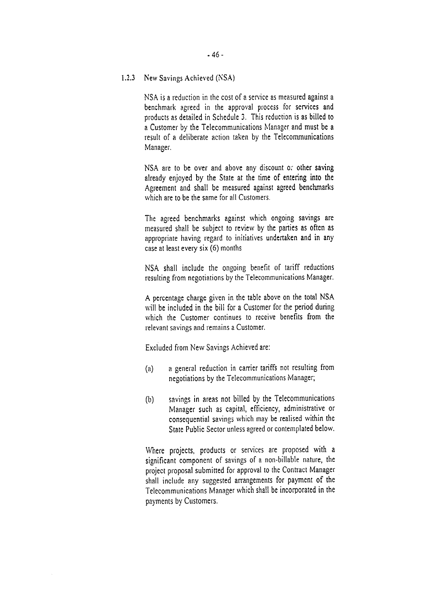1.2.3 New Savings Achieved (NSA)

NSA is a reduction in the cost of a service as measured against a benchmark agreed in the approval process for services and products as detailed in Schedule 3. This reduction is as billed to a Customer by the Telecommunications Manager and must be a result of a deliberate action taken by the Telecommunications Manager.

NSA are to be over and above any discount or other saving already enjoyed by the State at the time of entering into the Agreement and shall be measured against agreed benchmarks which are to be the same for all Customers.

The agreed benchmarks against which ongoing savings are measured shall be subject to review by the parties as often as appropriate having regard to initiatives undertaken and in any case at least every six (6) months

NSA shall include the ongoing benefit of tariff reductions resulting from negotiations by the Telecommunications Manager.

A percentage charge given in the table above on the total NSA will be included in the bill for a Customer for the period during which the Customer continues to receive benefits from the relevant savings and remains a Customer.

Excluded from New Savings Achieved are:

- a general reduction in carrier tariffs not resulting from  $(a)$ negotiations by the Telecommunications Manager;
- savings in areas not billed by the Telecommunications  $(b)$ Manager such as capital, efficiency, administrative or consequential savings which may be realised within the State Public Sector unless agreed or contemplated below.

Where projects, products or services are proposed with a significant component of savings of a non-billable nature, the project proposal submitted for approval to the Contract Manager shall include any suggested arrangements for payment of the Telecommunications Manager which shall be incorporated in the payments by Customers.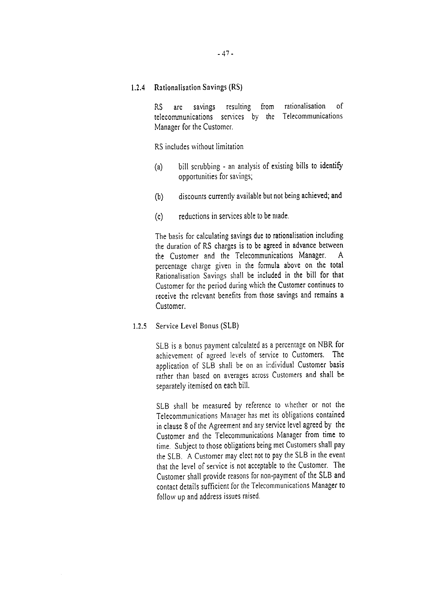**Rationalisation Savings (RS)**  $1.2.4$ 

> rationalisation  $\alpha$ f RS. savings resulting from are telecommunications services by the Telecommunications Manager for the Customer.

RS includes without limitation

- bill scrubbing an analysis of existing bills to identify  $(a)$ opportunities for savings;
- discounts currently available but not being achieved; and  $(b)$
- $(c)$ reductions in services able to be made.

The basis for calculating savings due to rationalisation including the duration of RS charges is to be agreed in advance between the Customer and the Telecommunications Manager.  $\mathsf{A}$ percentage charge given in the formula above on the total Rationalisation Savings shall be included in the bill for that Customer for the period during which the Customer continues to receive the relevant benefits from those savings and remains a Customer.

Service Level Bonus (SLB)  $1.2.5$ 

> SLB is a bonus payment calculated as a percentage on NBR for achievement of agreed levels of service to Customers. The application of SLB shall be on an individual Customer basis rather than based on averages across Customers and shall be separately itemised on each bill.

> SLB shall be measured by reference to whether or not the Telecommunications Manager has met its obligations contained in clause 8 of the Agreement and any service level agreed by the Customer and the Telecommunications Manager from time to time. Subject to those obligations being met Customers shall pay the SLB. A Customer may elect not to pay the SLB in the event that the level of service is not acceptable to the Customer. The Customer shall provide reasons for non-payment of the SLB and contact details sufficient for the Telecommunications Manager to follow up and address issues raised.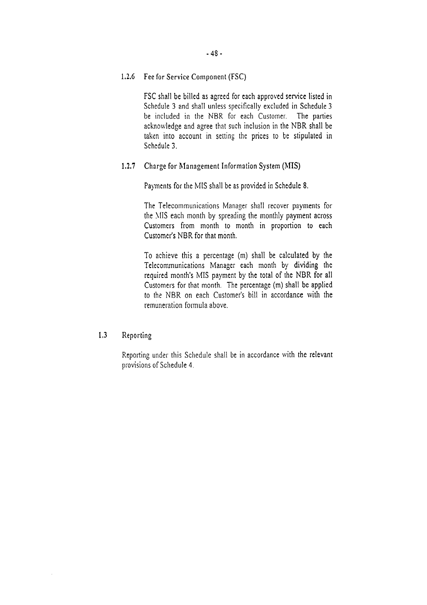1.2.6 Fee for Service Component (FSC)

FSC shall be billed as agreed for each approved service listed in Schedule 3 and shall unless specifically excluded in Schedule 3 be included in the NBR for each Customer. The parties acknowledge and agree that such inclusion in the NBR shall be taken into account in setting the prices to be stipulated in Schedule 3.

#### $1.2.7$ Charge for Management Information System (MIS)

Payments for the MIS shall be as provided in Schedule 8.

The Telecommunications Manager shall recover payments for the MIS each month by spreading the monthly payment across Customers from month to month in proportion to each Customer's NBR for that month.

To achieve this a percentage (m) shall be calculated by the Telecommunications Manager each month by dividing the required month's MIS payment by the total of the NBR for all Customers for that month. The percentage (m) shall be applied to the NBR on each Customer's bill in accordance with the remuneration formula above.

#### $1.3$ Reporting

Reporting under this Schedule shall be in accordance with the relevant provisions of Schedule 4.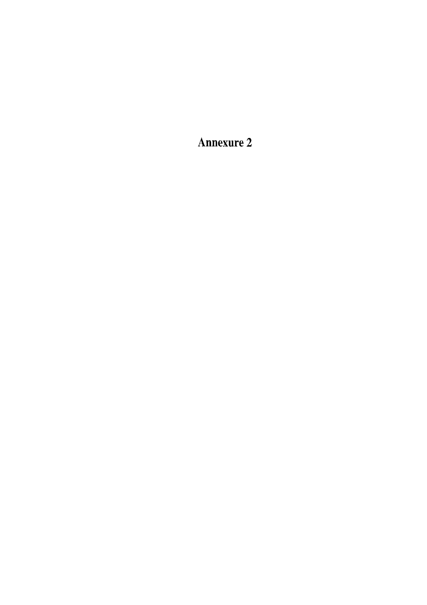**Annexure 2**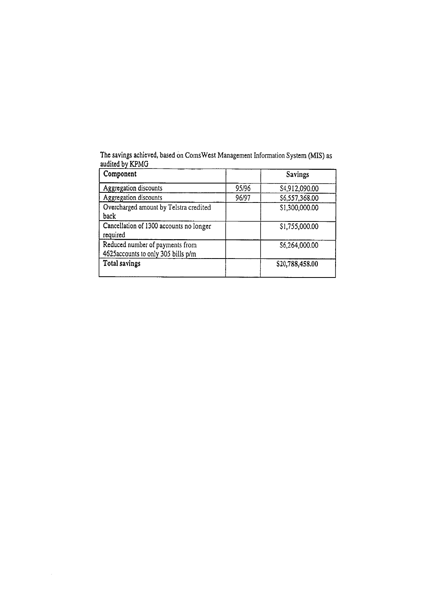The savings achieved, based on ComsWest Management Information System (MIS) as audited by KPMG

| Component                                                              |       | Savings         |
|------------------------------------------------------------------------|-------|-----------------|
| Aggregation discounts                                                  | 95/96 | S4,912,090.00   |
| Aggregation discounts                                                  | 96/97 | \$6,557,368.00  |
| Overcharged amount by Telstra credited<br>back                         |       | \$1,300,000.00  |
| Cancellation of 1300 accounts no longer<br>required                    |       | \$1,755,000.00  |
| Reduced number of payments from<br>4625 accounts to only 305 bills p/m |       | \$6,264,000.00  |
| <b>Total savings</b>                                                   |       | \$20,788,458.00 |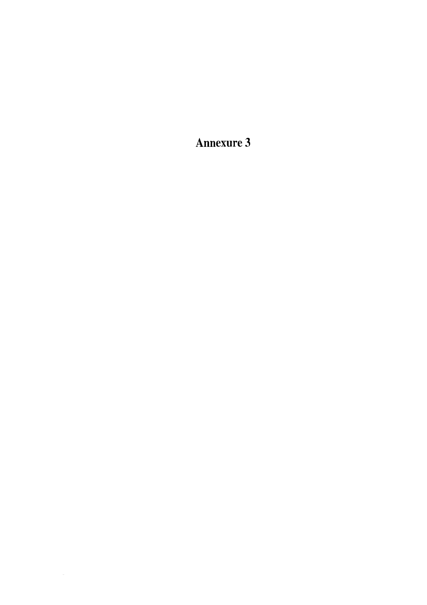**Annexure 3**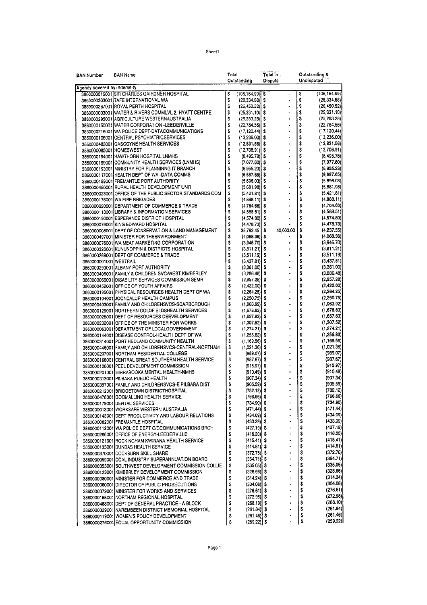| BAN Number                  | <b>BAN Name</b>                                                                                   | Total    | Outstanding                                | Total In<br><b>Dispute</b> | Undisputed | Outstanding &            |
|-----------------------------|---------------------------------------------------------------------------------------------------|----------|--------------------------------------------|----------------------------|------------|--------------------------|
| Agency covered by Indemnity |                                                                                                   |          |                                            |                            |            |                          |
|                             | 3860000016001 SIR CHARLES GAIRDNER HOSPITAL                                                       | s        | $(106, 164.99)$ S                          |                            | S          | (106, 164.99)            |
|                             | 3860000303001 TAFE INTERNATIONAL WA                                                               | \$       | $(28, 334, 88)$ S                          |                            | \$         | (28, 334.88)             |
|                             | 3860000287001 ROYAL PERTH HOSPITAL                                                                | \$       | $(26, 450.52)$ \$                          | $\ddot{\phantom{0}}$       | \$         | (26, 450.52)             |
|                             | 3860000003001 WATER & RIVERS COMMLVL 2, HYATT CENTRE                                              | \$       | $(25,331,10)$ \$                           |                            | \$         | (25, 331, 10)            |
|                             | 3860000295001 AGRICULTURE WESTERNAUSTRALIA                                                        | \$       | $(25, 283.28)$ \$                          | $\cdot$                    | \$         | (25, 283.28)             |
|                             | 3860000150001 WATER CORPORATION - LEEDERVILLE                                                     | S        | $(22,784.56)$ S                            | $\ddot{\phantom{0}}$       | S          | (22,784.56)              |
|                             | 3860000216001 WA POLICE DEPT-DATACOMMUNICATIONS                                                   | S        | $(17, 120.44)$ S                           | $\overline{\phantom{a}}$   | \$         | (17, 120.44)             |
|                             | 3860000106001 CENTRAL PSYCHIATRICSERVICES                                                         | \$       | $(13.236.00)$ S                            | l,                         | \$         | (13,236.00)              |
|                             | 3860000483001 GASCOYNE HEALTH SERVICES                                                            | \$       | $(12,831.56)$ \$                           | $\ddot{\phantom{0}}$       | \$         | (12,831.56)              |
| 3860000085001 HOMESWEST     |                                                                                                   | \$<br>\$ | $(12,708.91)$ \$                           |                            | \$<br>\$   | (12,708.91)              |
|                             | 3860000194001 HAWTHORN HOSPITAL LNMHS<br>3860000199001 COMMUNITY HEALTH SERVICES (LNMHS)          | S        | $(8,495.78)$ $\sqrt{5}$<br>$(7,077,80)$ \$ | $\ddot{\phantom{0}}$       | \$         | (8,495.78)<br>(7,077.80) |
|                             | 3860000193001 MINISTRY FOR PLANNINNG IT BRANCH                                                    | S        | $(6,955.23)$ \$                            | $\ddot{\phantom{0}}$       | \$         | (6,955.23)               |
|                             | 3860000117001 HEALTH DEPT OF WA-DATA COMMS                                                        | \$       | $(6,687,65)$ \$                            | $\overline{\phantom{a}}$   | \$         | (6,687.65)               |
|                             | 3860000189001 FREMANTLE PORT AUTHORITY                                                            | s        | $(5.696.03)$ S                             | $\ddot{\phantom{0}}$       | \$         | (5,696.03)               |
|                             | 3860000480001 RURAL HEALTH DEVELOPMENT UNIT                                                       | \$       | $(5,681.98)$ \$                            | $\ddot{\phantom{0}}$       | \$         | (5,681.98)               |
|                             | 3860000023001 OFFICE OF THE PUBLIC SECTOR STANDARDS COM                                           | \$       | $(5,421.81)$ \$                            | $\ddot{\phantom{0}}$       | \$         | (5,421.81)               |
|                             | 3860000178001 WA FIRE BRIGADES                                                                    | \$       | $(4,888.11)$ \$                            | l.                         | \$         | (4,888.11)               |
|                             | 3860000020001 DEPARTMENT OF COMMERCE & TRADE                                                      | \$       | $(4,764.66)$ \$                            | $\ddot{\phantom{1}}$       | \$         | (4,764.66)               |
|                             | 3860000113001 LIBRARY & INFORMATION SERVICES                                                      | \$       | $(4,588.51)$ \$                            | $\ddot{\phantom{0}}$       | \$         | (4,588.51)               |
|                             | 3860000190001 ESPERANCE DISTRICT HOSPITAL                                                         | \$       | $(4,574.80)$ \$                            |                            | \$         | (4,574.80)               |
|                             | 3860000079001 KING EDWARD HOSPITAL                                                                | S        | $(4, 478.73)$ \$                           |                            | \$         | (4, 478.73)              |
|                             | 3860000008001 DEPT OF CONSERVATION & LAND MANAGEMENT                                              | \$       | $35,762.45$   \$                           | 40,000,00                  | \$         | (4,237.55)               |
|                             | 3860000497001 MINISTER FOR THEENVIRONMENT                                                         | S        | $(4,068.36)$ \$                            | ٠                          | \$         | (4,068.36)               |
|                             | 3860000076001 WA MEAT MARKETING CORPORATION                                                       | \$<br>\$ | $(3,946.70)$ \$                            |                            | \$<br>\$   | (3,946.70)               |
|                             | 3860000326001 KUNUNOPPIN & DISTRICTS HOSPITAL<br>3860000269001 IDEPT OF COMMERCE & TRADE          | Ś        | $(3,811.21)$ \$<br>$(3,511.19)$ \$         |                            | \$         | (3,811.21)<br>(3,511.19) |
| 3860000001001 WESTRAIL      |                                                                                                   | S        | $(3,437.81)$ \$                            | $\ddot{\phantom{1}}$       | \$         | (3,437.81)               |
|                             | 3860000293001 ALBANY PORT AUTHORITY                                                               | \$       | $(3,361.00)$ \$                            | $\ddot{\phantom{1}}$       | \$         | (3,361.00)               |
|                             | 3860000406001 FAMILY & CHILDREN SVC-WEST KIMBERLEY                                                | \$       | $(3,286.48)$ \$                            | $\cdot$                    | \$         | (3,286.48)               |
|                             | 3860000066001 DISABILITY SERVICES COMMISSION SEMR                                                 | \$       | $(2,957.28)$ \$                            |                            | \$         | (2,957.28)               |
|                             | 3860000452001 OFFICE OF YOUTH AFFAIRS                                                             | S        | $(2,422.00)$ \$                            | $\ddot{\phantom{0}}$       | \$         | (2,422.00)               |
|                             | 3860000195001 PHYSICAL RESOURCES HEALTH DEPT OF WA                                                | \$       | $(2,264.25)$ \$                            | $\ddot{\phantom{0}}$       | \$         | (2,264.25)               |
|                             | 3860000104001 JOONDALUP HEALTH CAMPUS                                                             | \$       | $(2,250.75)$ \$                            |                            | \$         | (2,250.75)               |
|                             | 3860000403001 FAMILY AND CHILDRENSVCS-SCARBOROUGH                                                 | \$       | $(1,963.92)$ \$                            | $\ddot{\phantom{0}}$       | \$         | (1,963.92)               |
|                             | 3860000129001 NORTHERN GOLDFIELDSHEALTH SERVICES                                                  | Ś<br>\$  | $(1,678.83)$ \$                            |                            | \$<br>\$   | (1,678.83)<br>(1,657.83) |
|                             | 3860000028001 OEPT OF RESOURCES DEEVELOPMENT<br>3860000232001 OFFICE OF THE MINISTER FOR WORKS    | \$       | $(1,657.83)$ \$<br>$(1,307.52)$ \$         |                            | \$         | (1,307.52)               |
|                             | 3860000063001 DEPARTMENT OF LOCALGOVERNMENT                                                       | \$       | $(1,274.21)$ \$                            |                            | \$         | (1,274.21)               |
|                             | 3860000144001 DISEASE CONTROL-HEALTH DEPT OF WA                                                   | \$       | $(1,255.83)$ \$                            | $\ddot{\phantom{0}}$       | \$         | (1,255.83)               |
|                             | 3860000314001 PORT HEDLAND COMMUNITY HEALTH                                                       | S        | $(1, 169.56)$ \$                           |                            | \$         | (1, 169.56)              |
|                             | 3860000446001 FAMILY AND CHILDRENSVCS-CENTRAL-NORTHAM                                             | S        | $(1,021.36)$ \$                            |                            | \$         | (1,021.36)               |
|                             | 3860000207001 NORTHAM RESIDENTIAL COLLEGE                                                         | \$       | $(989.07)$ \$                              | $\cdot$                    | \$         | (989.07)                 |
|                             | 3860000166001 CENTRAL GREAT SOUTHERN HEALTH SERVICE                                               | S        | $(987.67)$ \$                              |                            | \$         | (987.67)                 |
|                             | 3860000108001 PEEL DEVELOPMENT COMMISSION                                                         | S        | (915.97)                                   | \$<br>$\ddot{\phantom{0}}$ | S          | (915.97)                 |
|                             | 3860000201001 MIRRABOOKA MENTAL HEALTH-NMHS                                                       | \$<br>\$ | $(910.49)$ \$<br>$(907.34)$ \$             | $\ddot{\phantom{0}}$       | \$<br>\$   | (910.49)<br>(907.34)     |
|                             | 3860000313001 PILBARA PUBLIC HEALTH                                                               | \$       | $(905.59)$ \$                              |                            | \$         | (905.59)                 |
|                             | 3860000397001 FAMILY AND CHILDRENSVCS-E PILBARA DIST<br>3860000212001 BRIDGETOWN DISTRICTHOSPITAL | s        | $(782.12)$ \$                              | $\blacksquare$             | \$         | (782.12)                 |
|                             | 3860000478001 GOOMALLING HEALTH SERVICE                                                           | \$       | $(766.66)$ \$                              |                            | \$         | (766.66)                 |
|                             | 3860000179001 DENTAL SERVICES                                                                     | s        | $(734.90)$ \$                              |                            | \$         | (734.90)                 |
|                             | 3860000013001 WORKSAFE WESTERN AUSTRALIA                                                          | \$       | $(471.44)$ \$                              |                            | \$         | (471.44)                 |
|                             | 3860000143001 DEPT PRODUCTIVITY AND LABOUR RELATIONS                                              | \$       | $(434.09)$ \$                              |                            | \$         | (434.09)                 |
|                             | 3860000082001 FREMANTLE HOSPITAL                                                                  | \$       | $(433.39)$ $\mid$ \$                       | ٠                          | \$         | (433.39)                 |
|                             | 3860000112001 WA POLICE DEPT O/CCOMMUNICATIONS BRCH                                               | \$       | $(427.19)$ \$                              |                            | \$         | (427.19)                 |
|                             | 3860000286001 OFFICE OF ENERGY-LEEDERVILLE                                                        | S        | $(416.20)$ \$                              |                            | \$         | (416.20)                 |
|                             | 3860000121001 ROCKINGHAM KWINANA HEALTH SERVICE                                                   | \$       | $(415.41)$ S                               |                            | \$         | (415.41)                 |
|                             | 3860000133001 DUNDAS HEALTH SERVICE                                                               | \$       | $(414.81)$ \$                              |                            | \$         | (414.81)                 |
|                             | 3860000370001 COCKBURN SKILL SHARE                                                                | \$       | $(372.76)$ \$                              |                            | \$         | (372.76)                 |
|                             | 3860000099001 COAL INDUSTRY SUPERANNUATION BOARD                                                  | \$       | $(354.71)$ \$                              |                            | \$<br>\$   | (354.71)<br>(335.05)     |
|                             | 3860000353001 SOUTHWEST DEVELOPMENT COMMISSION-COLLIE                                             | \$<br>\$ | $(335.05)$ \$<br>$(328.66)$ \$             |                            | \$         | (328.66)                 |
|                             | 3860000123001]KIMBERLEY DEVELOPMENT COMMISSION<br>3860000380001 MINISTER FOR COMMERCE AND TRADE   | s        | $(314.24)$ S                               |                            | \$         | (314.24)                 |
|                             | 3860000080001 DIRECTOR OF PUBLIC PROSECUTIONS                                                     | S        | $(304.08)$ \$                              |                            | \$         | (304.08)                 |
|                             | 3860000379001 MINISTER FOR WORKS AND SERVICES                                                     | \$       | $(276.61)$ \$                              | ٠                          | \$         | (276.61)                 |
|                             | 3860000165001 NORTHAM REGIONAL HOSPITAL                                                           | \$       | $(272.98)$ \$                              |                            | Ş          | (272.98)                 |
|                             | 3860000488001 DEPT OF GENERAL PRACTICE - A BLOCK                                                  | \$       | $(268.10)$ \$                              |                            | \$         | (268.10)                 |
|                             | 3860000329001 NAREMBEEN DISTRICT MEMORIAL HOSPITAL                                                | \$       | $(261.84)$ \$                              |                            | \$         | (261.84)                 |
|                             | 3860000119001IWOMEN'S POLICY DEVELOPMENT                                                          | s        | $(261.46)$ \$                              |                            | \$         | (261.46)                 |
|                             | 3860000276001 EQUAL OPPORTUNITY COMMISSION                                                        | \$       | $(259.22)$ \$                              |                            | Į۶         | (259.22)                 |
|                             |                                                                                                   |          |                                            |                            |            |                          |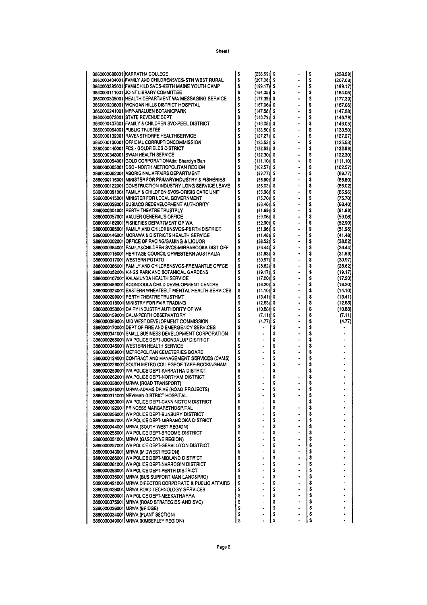Sheet1

| 3860000086001 KARRATHA COLLEGE                         | \$ | (238.59) \$          |    |                          | \$ | (238.59) |
|--------------------------------------------------------|----|----------------------|----|--------------------------|----|----------|
| 3860000404001 FAMILY AND CHILDRENSVCS-STH WEST RURAL   | \$ | $(207.08)$ \$        |    |                          | \$ | (207.08) |
| 3860000395001 FAM&CHILD SVCS-KEITH MAINE YOUTH CAMP    | \$ | $(199.17)$ S         |    |                          | \$ | (199.17) |
| 3860000111001 JOINT LIBRARY COMMITTEE                  | s  | $(184.05)$ \$        |    | $\blacksquare$           | \$ | (184.05) |
| 3860000305001 HEALTH DEPARTMENT WA MESSAGING SERVICE   | \$ | (177.39)             | s  |                          | \$ | (177.39) |
| 3860000206001 WONGAN HILLS DISTRICT HOSPITAL           | \$ | (167.06)             | s  |                          | \$ |          |
|                                                        |    |                      |    |                          |    | (167.06) |
| 3860000241001 MFP-ARALUEN BOTANICPARK                  | \$ | (147.58)             | s  |                          | \$ | (147.58) |
| 3860000073001 STATE REVENUE DEPT                       | \$ | $(146.79)$ \$        |    | $\cdot$                  | \$ | (146.79) |
| 3860000407001 FAMILY & CHILDREN SVC-PEEL DISTRICT      | S  | (146.05)             | s  |                          | \$ | (146.05) |
| 3860000064001 PUBLIC TRUSTEE                           | S  | $(133.50)$ \$        |    |                          | \$ | (133.50) |
| 3860000132001 RAVENSTHORPE HEALTHSERVICE               | \$ | (127.27)             | s  | $\ddot{\phantom{1}}$     | \$ | (127.27) |
| 3860000120001 OFFICIAL CORRUPTIONCOMMISSION            | \$ | (125.53)             | S  | ä,                       | \$ | (125.53) |
|                                                        |    |                      |    |                          |    |          |
| 3860000440001 FCS - GOLDFIELDS DISTRICT                | \$ | (122.59)             | Ş  |                          | \$ | (122.59) |
| 3860000343001 SWAN HEALTH SERVICE                      | \$ | (122.30)             | s  |                          | \$ | (122.30) |
| 3860000054001 GOLD CORPORATIONAttn: Sharolyn Barr      | s  | (111.10)             | s  | $\ddot{\phantom{0}}$     | S  | (111.10) |
| 3860000065001 DSC - NORTH METROPOLITAN REGION          | \$ | (102.57)             | s  |                          | \$ | (102.57) |
| 3860000062001]ABORIGINAL AFFAIRS DEPARTMENT            | Ŝ  | (89.77)              | S  |                          | \$ | (89 77)  |
| 3860000116001 MINISTER FOR PRIMARYINDUSTRY & FISHERIES | \$ | (86.50)              | S  |                          | \$ | (86.50)  |
| 3860000122001 CONSTRUCTION INDUSTRY LONG SERVICE LEAVE | Ŝ  | (86.02)              | s  |                          | \$ | (66.02)  |
|                                                        |    |                      |    |                          |    |          |
| 3860000391001 FAMILY & CHILDREN SVCS-CRISIS CARE UNIT  | \$ | (85.96)              | s  | $\bullet$                | \$ | (85.96)  |
| 3860000415001 MINISTER FOR LOCAL GOVERNMENT            | \$ | (75.70)              | s  |                          | \$ | (75.70)  |
| 3860000026001 SUBIACO REDEVELOPMENT AUTHORITY          | \$ | (66.40)              | S  |                          | \$ | (66.40)  |
| 3860000301001 PERTH THEATRE TRUSTPLY                   | \$ | $(61.69)$ \$         |    |                          | \$ | (61.69)  |
| 3860000057001 VALUER GENERAL'S OFFICE                  | \$ | $(59.06)$ S          |    | $\ddot{\phantom{0}}$     | \$ | (59.06)  |
| 3860000182001 FISHERIES DEPARTMENT OF WA               | \$ | $(52.90)$ \$         |    |                          | \$ | (52.90)  |
| 3860000385001 FAMILY AND CHILDRENSVCS-PERTH DISTRICT   | \$ | $(51.96)$ \$         |    |                          | \$ | (51.96)  |
|                                                        |    |                      |    |                          |    |          |
| 3860000146001 MORAWA & DISTRICTS HEALTH SERVICE        | Ŝ  | (41.48)              | s  | ÷.                       | \$ | (41.48)  |
| 3860000002001 OFFICE OF RACING/GAMING & LIQUOR         | \$ | (38.52)              | S  |                          | \$ | (38.52)  |
| 3860000384001]FAMILY&CHILDREN SVCS-MIRRABOOKA DIST OFF | \$ | (36.44)              | Ş  |                          | Ŝ  | (36.44)  |
| 3860000115001 HERITAGE COUNCIL OFWESTERN AUSTRALIA     | \$ | (31.93)              | s  |                          | \$ | (31.93)  |
| 3860000017001 WESTERN POTATO                           | Ś  | $(30.97)$ \$         |    | $\ddot{\phantom{0}}$     | \$ | (30.97)  |
| 3860000386001 FAMILY AND CHILDRENSVCS-FREMANTLE OFFCE  | \$ | $(28.62)$ \$         |    |                          | \$ | (28.62)  |
| 3860000052001 KINGS PARK AND BOTANICAL GARDENS         |    |                      |    |                          | \$ |          |
|                                                        | \$ | (19.17)              | \$ |                          |    | (19.17)  |
| 3860000107001 KALAMUNDA HEALTH SERVICE                 | S  | (17.20)              | s  |                          | \$ | (17.20)  |
| 3860000489001 KOONDOOLA CHILD DEVELOPMENT CENTRE       | \$ | (16.20)              | s  | $\blacksquare$           | S  | (16.20)  |
| 3860000324001 EASTERN WHEATBELT MENTAL HEALTH SERVICES | \$ | (14.10)              | s  | $\overline{\phantom{a}}$ | \$ | (14.10)  |
| 3860000299001 PERTH THEATRE TRUSTHMT                   | \$ | (13.41)              | s  | $\ddot{\phantom{0}}$     | \$ | (13.41)  |
| 3860000018001 MINISTRY FOR FAIR TRADING                | \$ | (12.63)              | s  |                          | \$ | (12.63)  |
| 3860000058001 DAIRY INDUSTRY AUTHORITY OF WA           | \$ | $(10.88)$ \$         |    | $\ddot{\phantom{0}}$     | \$ | (10.58)  |
|                                                        |    |                      |    |                          |    |          |
| 3860000159001 CALM-PERTH OBSERVATORY                   | \$ | (7.11)               | s  | ٠                        | \$ | (7.11)   |
| 3860000089001 MID WEST DEVELOPMENT COMMISSION          | \$ | (4.77)               | \$ |                          | \$ | (4.77)   |
| 3860000170001 OEPT OF FIRE AND EMERGENCY SERVICES      | \$ | ۰                    | \$ |                          | \$ |          |
| 3860000341001 SMALL BUSINESS DEVELOPMENT CORPORATION   | \$ |                      | \$ |                          | \$ |          |
| 3860000265001 WA POLICE DEPT-JOONDALUP DISTRICT        | \$ |                      | \$ |                          | \$ |          |
| 3860000346001 WESTERN HEALTH SERVICE                   | Ŝ  | $\ddot{\phantom{0}}$ | \$ | $\blacksquare$           | \$ |          |
| 3860000069001 METROPOLITAN CEMETERIES BOARD            | \$ |                      | \$ |                          | \$ |          |
|                                                        | Ŝ  |                      |    | ٠                        |    |          |
| 3860000124001 CONTRACT AND MANAGEMENT SERVICES (CAMS)  |    |                      | \$ |                          | \$ |          |
| 3860000226001 SOUTH METRO COLLEGEOF TAFE-ROCKINGHAM    | \$ | ٠                    | \$ |                          | \$ |          |
| 3860000259001 WA POLICE DEPT KARRATHA DISTRICT         | \$ |                      | \$ |                          | \$ |          |
| 3860000262001 WA POLICE DEPT-NORTHAM DISTRICT          | \$ |                      | \$ |                          | \$ |          |
| 3860000038001 MRWA (ROAD TRANSPORT)                    | \$ |                      | \$ |                          | \$ |          |
| 3860000245001 MRWA-ADAMS DRIVE (ROAD PROJECTS)         | Ŝ  |                      | S  |                          | Ś  |          |
| 3860000311001 NEWMAN DISTRICT HOSPITAL                 | \$ |                      | \$ |                          | \$ |          |
| 3860000263001 WA POLICE DEPT-CANNINGTON DISTRICT       | \$ |                      | \$ |                          | \$ |          |
|                                                        |    |                      |    |                          |    |          |
| 3860000192001 PRINCESS MARGARETHOSPITAL                | \$ |                      | Ŝ  |                          | \$ |          |
| 3860000256001 WA POLICE DEPT BUNBURY DISTRICT          | \$ |                      | \$ |                          | \$ |          |
| 3860000267001 WA POLICE DEPT-MIRRABOOKA DISTRICT       | \$ |                      | \$ |                          | \$ |          |
| 3860000044001 MRWA (SOUTH WEST REGION)                 | \$ |                      | \$ |                          | \$ |          |
| 3860000255001 WA POLICE DEPT-BROOME DISTRICT           | Ś  |                      | \$ |                          | \$ |          |
| 3860000051001 MRWA (GASCOYNE REGION)                   | Ŝ  |                      | Ś  |                          | \$ |          |
|                                                        | \$ |                      | \$ |                          | \$ |          |
| 3860000257001 WA POLICE DEPT-GERALDTON DISTRICT        |    |                      |    |                          |    |          |
| 3860000043001 MRWA (MIDWEST REGION)                    | \$ |                      | \$ |                          | \$ |          |
| 3860000266001 WA POLICE DEPT-MIDLAND DISTRICT          | \$ |                      | \$ |                          | \$ |          |
| 3860000261001 WA POLICE DEPT-NARROGIN DISTRICT         | \$ |                      | \$ |                          | \$ |          |
| 3860000253001 WA POLICE DEPT-PERTH DISTRICT            | S  |                      | \$ |                          | \$ |          |
| 3860000035001 MRWA (BUS SUPPORT MAN LAND&PRO)          | S  |                      | \$ |                          | \$ |          |
| 3860000421001 MRWA DIRECTOR CORPORATE & PUBLIC AFFAIRS | \$ |                      | \$ |                          | \$ |          |
|                                                        |    |                      |    |                          |    |          |
| 3860000426001 MRWA ROAD TECHNOLOGY SERVICES            | \$ |                      | \$ |                          | \$ |          |
| 3860000260001 WA POLICE DEPT-MEEKATHARRA               | \$ |                      | \$ |                          | \$ |          |
| 3860000375001 MRWA (ROAD STRATEGIES AND SVC)           | \$ |                      | \$ |                          | \$ |          |
| 3860000036001 MRWA (BRIDGE)                            | \$ |                      | \$ |                          | \$ |          |
| 3860000034001 MRWA (PLANT SECTION)                     | \$ |                      | \$ |                          | \$ |          |
| 3860000049001]MRWA (KIMBERLEY REGION)                  | \$ |                      | \$ |                          | \$ |          |
|                                                        |    |                      |    |                          |    |          |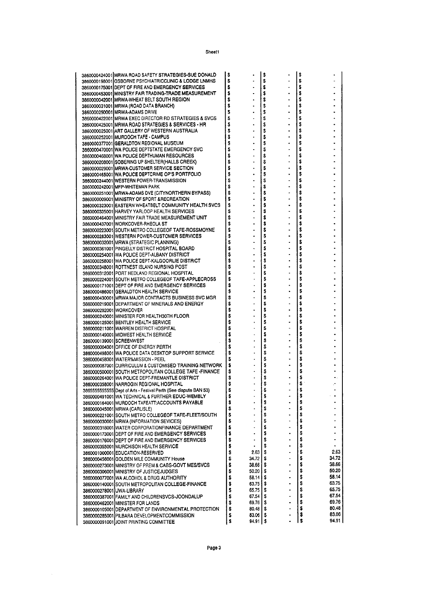Sheet1

|                         | 3860000424001 MRWA ROAD SAFETY STRATEGIES-SUE DONALD                                           | \$       |                       | \$       |                | \$       |                |
|-------------------------|------------------------------------------------------------------------------------------------|----------|-----------------------|----------|----------------|----------|----------------|
|                         | 3860000198001 OSBORNE PSYCHIATRICCLINIC & LODGE LNMHS                                          | \$       |                       | \$       |                | \$       |                |
|                         | 3860000175001 DEPT OF FIRE AND EMERGENCY SERVICES                                              | \$       |                       | \$       |                | \$       |                |
|                         | 3860000453001 MINISTRY FAIR TRADING-TRADE MEASUREMENT                                          | \$       |                       | \$       |                | \$       |                |
|                         | 3860000042001 MRWA-WHEAT BELT SOUTH REGION                                                     | \$       |                       | \$       |                | \$       |                |
|                         | 3860000031001 MRWA (ROAD DATA BRANCH)                                                          | \$       |                       | \$       |                | \$       |                |
|                         | 3860000250001 MRWA-ADAMS DRIVE                                                                 | \$       | ٠                     | \$       |                | \$       |                |
|                         | 3860000422001 MRWA EXEC DIRECTOR RD STRATEGIES & SVCS                                          | \$       |                       | s        |                | \$       |                |
|                         | 3860000425001 MRWA ROAD STRATEGIES & SERVICES - HR                                             | S        |                       | S        |                | \$<br>\$ |                |
|                         | 3860000025001 ART GALLERY OF WESTERN AUSTRALIA                                                 | \$       |                       | \$       |                | \$       |                |
|                         | 3860000252001 MURDOCH TAFE - CAMPUS                                                            | \$<br>S  |                       | \$<br>\$ |                | \$       |                |
|                         | 3860000377001 GERALDTON REGIONAL MUSEUM<br>3860000470001 WA POLICE DEPTSTATE EMERGENCY SVC     | \$       | $\bullet$             | \$       |                | \$       |                |
|                         | 3860000468001 WA POLICE DEPTHUMAN RESOURCES                                                    | \$       |                       | Ŝ        |                | s        |                |
|                         | 3860000208001 SOBERING UP SHELTER (HALLS CREEK)                                                | \$       |                       | \$       |                | \$       |                |
|                         | 3860000029001 MRWA-CUSTOMER SERVICE SECTION                                                    | \$       | $\cdot$               | \$       |                | \$       |                |
|                         | 3860000465001 WA POLICE DEPTCRIME OP'S PORTFOLIO                                               | \$       |                       | \$       |                | \$       |                |
|                         | 3860000244001 WESTERN POWER-TRANSMISSION                                                       | \$       |                       | \$       |                | \$       |                |
|                         | 3860000242001 MFP-WHITEMAN PARK                                                                | \$       |                       | S        |                | \$       |                |
|                         | 3860000251001]MRWA-ADAMS DVE (CITYNORTHERN BYPASS)                                             | \$       |                       | \$       |                | \$       |                |
|                         | 3860000009001 MINISTRY OF SPORT & RECREATION                                                   | \$       |                       | \$       |                | \$       |                |
|                         | 3860000323001 IEASTERN WHEATBELT COMMUNITY HEALTH SVCS                                         | s        |                       | \$       |                | \$       |                |
|                         | 3860000335001 HARVEY YARLOOP HEALTH SERVICES                                                   | \$       |                       | \$       |                | \$       |                |
|                         | 3860000464001 MINISTRY FAIR TRADE MEASUREMENT UNIT                                             | \$       |                       | \$       |                | \$       |                |
|                         | 3860000437001 WORKCOVER-RHEOLA ST                                                              | s        |                       | \$       |                | \$       |                |
|                         | 3860000223001 SOUTH METRO COLLEGEOF TAFE-ROSSMOYNE                                             | Ś        |                       | \$       |                | \$       |                |
|                         | 3860000283001 WESTERN POWER-CUSTOMER SERVICES                                                  | s        |                       | \$<br>\$ |                | \$<br>\$ |                |
|                         | 3860000032001]MRWA (STRATEGIC PLANNING)                                                        | \$<br>S  |                       | \$       |                | \$       |                |
|                         | 3860000361001 PINGELLY DISTRICT HOSPITAL BOARD<br>3860000254001 WA POLICE DEPT-ALBANY DISTRICT | \$       |                       | s        |                | \$       |                |
|                         | 3860000258001 WA POLICE DEPT-KALGOORLIE DISTRICT                                               | s        |                       | \$       |                | \$       |                |
|                         | 3860000348001 ROTTNEST ISLAND NURSING POST                                                     | s        |                       | \$       |                | \$       |                |
|                         | 3860000312001 PORT HEDLAND REGIONAL HOSPITAL                                                   | s        |                       | \$       |                | \$       |                |
|                         | 3860000224001 SOUTH METRO COLLEGEOF TAFE-APPLECROSS                                            | \$       |                       | \$       |                | \$       |                |
|                         | 3860000171001 DEPT OF FIRE AND EMERGENCY SERVICES                                              | \$       |                       | \$       |                | \$       |                |
|                         | 3860000486001 GERALDTON HEALTH SERVICE                                                         | \$       |                       | \$       |                | \$       |                |
|                         | 3860000430001İMRWA MAJOR CONTRACTS BUSINESS SVC MGR                                            | \$       |                       | \$       |                | \$       |                |
|                         | 3860000219001 DEPARTMENT OF MINERALS AND ENERGY                                                | \$       |                       | s        |                | \$       |                |
| 3860000292001 WORKCOVER |                                                                                                | \$       |                       | \$       |                | \$       |                |
|                         | 3860000240001 MINISTER FOR HEALTH30TH FLOOR                                                    | s        |                       | \$       |                | \$       |                |
|                         | 3860000125001 BENTLEY HEALTH SERVICE                                                           | \$<br>S  |                       | \$<br>S  |                | \$<br>\$ |                |
|                         | 3860000211001 WARREN DISTRICT HOSPITAL<br>3860000149001 MIDWEST HEALTH SERVICE                 | \$       |                       | \$       | ٠              | \$       |                |
|                         | 3860000139001 SCREENWEST                                                                       | \$       |                       | \$       |                | \$       |                |
|                         | 3860000004001 OFFICE OF ENERGY PERTH                                                           | \$       |                       | \$       |                | \$       |                |
|                         | 3860000498001 WA POLICE DATA DESKTOP SUPPORT SERVICE                                           | \$       |                       | \$       |                | \$       |                |
|                         | 3860000458001 WATER%MISSION - PEEL                                                             | \$       |                       | \$       |                | \$       |                |
|                         | 3860000087001 CURRICULUM & CUSTOMISED TRAINING NETWORK                                         | \$       |                       | \$       | $\blacksquare$ | \$       |                |
|                         | 3860000500001 SOUTH METROPOLITAN COLLEGE TAFE - FINANCE                                        | \$       |                       | \$       |                | \$       |                |
|                         | 3860000264001 WA POLICE DEPT-FREMANTLE DISTRICT                                                | S        |                       | \$       |                | \$       |                |
|                         | 3860000358001 NARROGIN REGIONAL HOSPITAL                                                       | \$       |                       | \$       |                | \$       |                |
|                         | 38655555555555 Dept of Arts - Festival Perth (See dispute BAN 53)                              | S        |                       | \$       |                | \$       |                |
|                         | 3860000491001 WA TECHNICAL & FURTHER EDUC-WEMBLY                                               | \$       |                       | \$       |                | \$<br>\$ |                |
|                         | 3860000164001 MURDOCH TAFEATT:ACCOUNTS PAYABLE                                                 | \$<br>\$ |                       | \$<br>\$ |                | \$       |                |
|                         | 3860000045001 MRWA (CARLISLE)<br>3860000221001 SOUTH METRO COLLEGEOF TAFE-FLEET/SOUTH          | \$       |                       | \$       |                | \$       |                |
|                         | 3860000030001 MRWA (INFORMATION SEVICES)                                                       | \$       |                       | \$       | ٠              | \$       |                |
|                         | 3860000318001 WATER CORPORATIONFINANCE DEPARTMENT                                              | \$       |                       | \$       |                | \$       |                |
|                         | 3860000173001 DEPT OF FIRE AND EMERGENCY SERVICES                                              | \$       |                       | \$       | ٠              | \$       |                |
|                         | 3860000176001 IDEPT OF FIRE AND EMERGENCY SERVICES                                             | \$       |                       | \$       | ۰              | \$       |                |
|                         | 3860000355001 MURCHISON HEALTH SERVICE                                                         | \$       |                       | \$       |                | \$       |                |
|                         | 3860001000001 EDUCATION-RESERVED                                                               | \$       | 2.63                  | \$       |                | \$       | 2.63           |
|                         | 3860000456001 GOLDEN MILE COMMUNITY House                                                      | \$       | 34.72                 | \$       |                | \$       | 34.72          |
|                         | 3860000273001 MINISTRY OF PREM & CABS-GOVT MES/SVCS                                            | ŝ        | 38.66                 | \$       | ÷              | \$       | 38.66          |
|                         | 3860000306001 MINISTRY OF JUSTICEJUDGES                                                        | \$       | 50.20                 | \$       | ٠              | \$       | 50.20          |
|                         | 3860000077001 WA ALCOHOL & DRUG AUTHORITY                                                      | \$       | 58.14                 | \$       | $\bullet$      | \$       | 58.14          |
|                         | 3860000140001 SOUTH METROPOLITAN COLLEGE-FINANCE                                               | \$       | $63.75$ $\frac{1}{3}$ |          |                | \$       | 63.75          |
|                         | 3860000278001 UWA-LIBRARY                                                                      | \$       | 65.75                 | S.       |                | \$       | 65.75          |
|                         | 3860000387001 FAMILY AND CHILDRENSVCS-JOONDALUP                                                | S        | 67.54                 | 5        | $\blacksquare$ | \$       | 67.54<br>69.76 |
|                         | 3860000462001 MINISTER FOR LANDS                                                               | \$       | 69.76 S               |          | ٠              | \$<br>\$ | 80.48          |
|                         | 3860000105001 OEPARTMENT OF ENVIRONMENTAL PROTECTION                                           | \$<br>\$ | 80.48<br>83.06        | \$<br>s  |                | \$       | 83.06          |
|                         | 3860000285001 PILBARA DEVELOPMENTCOMMISSION<br>3860000091001 JOINT PRINTING COMMITTEE          | Ś        | 94.91   \$            |          |                | s        | 94.91          |
|                         |                                                                                                |          |                       |          |                |          |                |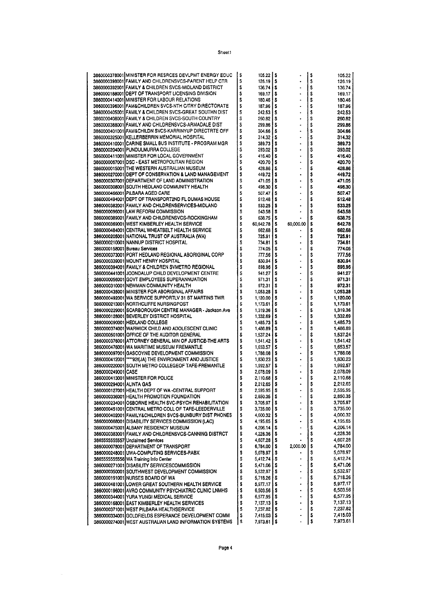|                          | 3860000378001 MINISTER FOR RESRCES DEVLPMT ENERGY EDUC  | s  | 105.22                   | \$ |                      | \$ | 105.22   |
|--------------------------|---------------------------------------------------------|----|--------------------------|----|----------------------|----|----------|
|                          | 3860000398001 FAMILY AND CHILDRENSVCS-PARENT HELP CTR   | s  | 126.19                   | \$ |                      | \$ | 126.19   |
|                          |                                                         |    |                          |    |                      |    |          |
|                          | 3860000392001 FAMILY & CHILDREN SVCS-MIDLAND DISTRICT   | \$ | 136.74                   | \$ |                      | \$ | 136.74   |
|                          | 3860000188001[DEPT OF TRANSPORT LICENSING DIVISION      | S  | 169.17                   | \$ |                      | \$ | 169.17   |
|                          |                                                         |    |                          |    |                      |    |          |
|                          | 3860000414001 MINISTER FOR LABOUR RELATIONS             | Ŝ  | 180.46                   | \$ | ٠                    | \$ | 180.46   |
|                          | 3860000396001 FAM&CHILDREN SVCS-NTH C/TRY DIRECTORATE   | \$ | 187,96                   | \$ |                      | \$ | 187.96   |
|                          | 3860000405001 FAMILY & CHILDREN SVCS-GREAT SOUTHN DIST  | S  | 242.53                   | \$ |                      | \$ | 242.53   |
|                          |                                                         |    |                          |    |                      |    |          |
|                          | 3860000408001 FAMILY & CHILDREN SVCS-SOUTH COUNTRY      | \$ | 260.82                   | \$ | ٠                    | \$ | 260.82   |
|                          | 3860000388001IFAMILY AND CHILDRENSVCS-ARMADALE DIST     | S  | 299.86                   | \$ | ٠                    | \$ | 299.86   |
|                          |                                                         |    |                          |    |                      |    |          |
|                          | 3860000401001 FAM&CHILDN SVCS-KARRINYUP DIRECTRTE OFF   | \$ | 304.66                   | \$ |                      | \$ | 304.66   |
|                          | 3860000325001 KELLERBERRIN MEMORIAL HOSPITAL            | S  | 314.32                   | \$ |                      | \$ | 314.32   |
|                          |                                                         |    |                          |    |                      |    |          |
|                          | 3860000410001 CARINE SMALL BUS INSTITUTE - PROGRAM MGR  | \$ | 389.73                   | \$ | ٠                    | \$ | 389,73   |
|                          | 3860000204001 PUNDULMURRA COLLEGE                       | S  | 393.02                   | s  |                      | \$ | 393.02   |
|                          | 3860000411001 MINISTER FOR LOCAL GOVERNMENT             | \$ | 416.40                   | \$ | $\ddot{\phantom{0}}$ | \$ | 416.40   |
|                          |                                                         |    |                          |    |                      |    |          |
|                          | 3860000067001 DSC - EAST METROPOLITAN REGION            | \$ | 420,70                   | s  |                      | \$ | 420.70   |
|                          | 3860000015001 THE WESTERN AUSTRALIAN MUSEUM             | \$ | 428.86                   | s  |                      | \$ | 428.86   |
|                          |                                                         |    |                          |    |                      |    |          |
|                          | 3860000270001 DEPT OF CONSERVATION & LAND MANAGEMENT    | \$ | 449.72                   | \$ |                      | \$ | 449.72   |
|                          | 3860000307001 IDEPARTMENT OF LAND ADMINISTRATION        | \$ | 471.05                   | \$ |                      | \$ | 471.05   |
|                          | 3860000308001 SOUTH HEDLAND COMMUNITY HEALTH            | Ś  | 498.30                   | s  | $\blacksquare$       | \$ | 498.30   |
|                          |                                                         |    |                          |    |                      |    |          |
|                          | 3860000466001 PILBARA AGED CARE                         | S  | 507.47                   | \$ |                      | \$ | 507.47   |
|                          | 3860000494001 IDEPT OF TRANSPORT2ND FL DUMAS HOUSE      | Ŝ  | 512.48                   | s  |                      | \$ | 512.48   |
|                          |                                                         | Ś  |                          |    |                      |    |          |
|                          | 3860000382001 FAMILY AND CHILDRENSERVICES-MIDLAND       |    | 533.25                   | \$ |                      | \$ | 533.25   |
|                          | 3860000096001 LAW REFORM COMMISSION                     | \$ | 543.58                   | s  |                      | \$ | 543.58   |
|                          | 3860000389001 FAMILY AND CHILDRENSVCS-ROCKINGHAM        | \$ | 638.75                   | \$ |                      | s  | 638.75   |
|                          |                                                         |    |                          |    |                      |    |          |
|                          | 3860000369001 WEST KIMBERLEY HEALTH SERVICE             | S  | 60.642.78                | s  | 60,000.00            | \$ | 642.78   |
|                          | 3860000484001 CENTRAL WHEATBELT HEALTH SERVICE          | \$ | 662.68                   | \$ |                      | \$ | 662.68   |
|                          | 3860000205001 NATIONAL TRUST OF AUSTRALIA (WA)          | \$ | 725.91                   | \$ |                      | \$ | 725.91   |
|                          |                                                         |    |                          |    |                      |    |          |
|                          | 3860000210001 INANNUP DISTRICT HOSPITAL                 | \$ | 734.81                   | s  |                      | \$ | 734.81   |
|                          | 3860000158001 Bureau Services                           | Ś  | 774.05                   | \$ |                      | \$ | 774.05   |
|                          |                                                         |    |                          |    |                      |    |          |
|                          | 3860000373001 PORT HEDLAND REGIONAL ABORIGINAL CORP     | Ś  | 777.56                   | s  |                      | S  | 777.56   |
|                          | 3860000339001 MOUNT HENRY HOSPITAL                      | \$ | 830.94                   | s  | ٠                    | \$ | 830.94   |
|                          | 3860000394001 FAMILY & CHILDREN SVMETRO REGIONAL        | S  | 898.96                   | \$ |                      | \$ | 898.96   |
|                          |                                                         |    |                          |    |                      |    |          |
|                          | 3860000441001 JOONDALUP CHILD DEVELOPMENT CENTRE        | \$ | 941.27                   | \$ |                      | \$ | 941.27   |
|                          | 3860000056001IGOVT EMPLOYEES SUPERANNUATION             | \$ | 971.31                   | \$ |                      | \$ | 971.31   |
|                          |                                                         | \$ |                          |    |                      | \$ |          |
|                          | 3860000310001 INEWMAN COMMUNITY HEALTH                  |    | 972.31                   | \$ |                      |    | 972.31   |
|                          | 3860000435001 MINISTER FOR ABORIGINAL AFFAIRS           | Ŝ  | 1,053.28                 | \$ |                      | \$ | 1,053.28 |
|                          | 3860000492001]WA SERVICE SUPPORTLV 31 ST MARTINS TWR    | \$ | 1,120.00                 | \$ |                      | \$ | 1,120.00 |
|                          |                                                         | S  |                          |    | $\blacksquare$       | \$ |          |
|                          | 3860000213001]NORTHCLIFFE NURSINGPOST                   |    | 1,173.61                 | \$ |                      |    | 1,173.61 |
|                          | 3860000229001 SCARBOROUGH CENTRE MANAGER - Jackson Ave  | \$ | 1,319.36                 | s  |                      | \$ | 1,319.36 |
|                          | 3860000128001IBEVERLEY DISTRICT HOSPITAL                | \$ | 1,332.69                 | s  |                      | s  | 1.332.69 |
|                          |                                                         |    |                          |    |                      |    |          |
|                          | 3860000090001 HEDLAND COLLEGE                           | \$ | 1,485,73                 | \$ |                      | \$ | 1.485.73 |
|                          | 3860000374001]WARWICK CHILD AND ADOLESCENT CLINIC       | \$ | 1,486.89                 | \$ |                      | \$ | 1,486.89 |
|                          | 3860000501001 OFFICE OF THE AUDITOR GENERAL             | \$ | 1,537.24                 | \$ |                      | \$ | 1.537.24 |
|                          |                                                         |    |                          |    |                      |    |          |
|                          | 3860000376001 ATTORNEY GENERAL MIN OF JUSTICE-THE ARTS  | \$ | 1,541.42                 | \$ |                      | \$ | 1.541.42 |
|                          | 3860000476001)WA MARITIME MUSEUM FREMANTLE              | \$ | 1,653.57                 | \$ |                      | \$ | 1,653.57 |
|                          | 3860000097001[GASCOYNE DEVELOPMENT COMMISSION           | \$ | 1,788.08                 | \$ |                      | \$ | 1,788.08 |
|                          |                                                         |    |                          |    |                      |    |          |
|                          | 3860000412001 [****92f(JA) THE ENVIRONMENT AND JUSTICE  | S  | 1,830.23                 | \$ |                      | \$ | 1,830.23 |
|                          | 3860000220001 SOUTH METRO COLLEGEOF TAFE-FREMANTLE      | S  | 1,992.57                 | ŝ  |                      | S  | 1,992.57 |
| 3860000249001ICASE       |                                                         | S  | 2,078.09                 | s  |                      | \$ | 2.078.09 |
|                          |                                                         |    |                          |    |                      |    |          |
|                          | 3860000413001 MINISTER FOR POLICE                       | \$ | 2,110,68                 | \$ |                      | \$ | 2,110.68 |
| 3860000294001 ALINTA GAS |                                                         | S  | 2,212.65                 | \$ |                      | \$ | 2.212.65 |
|                          | 3860000127001 HEALTH DEPT OF WA -CENTRAL SUPPORT        | Ś  | 2,595.95                 | Ŝ  |                      | Ŝ  | 2,595.95 |
|                          |                                                         |    |                          |    |                      |    |          |
|                          | 3860000336001 HEALTH PROMOTION FOUNDATION               | \$ | 2,850.35                 | \$ |                      | \$ | 2,850.35 |
|                          | 3860000234001   OSBORNE HEALTH SVC-PSYCH REHABILITATION | s  | 3,705.97                 | \$ |                      | \$ | 3,705.97 |
|                          |                                                         |    |                          |    |                      |    |          |
|                          | 3860000451001 CENTRAL METRO COLL OF TAFE-LEEDERVILLE    | \$ | 3,735.00                 | \$ |                      | \$ | 3,735.00 |
|                          | 3860000402001 FAMILY&CHILDREN SVCS-BUNBURY DIST PHONES  | \$ | 4,000.32                 | s  |                      | \$ | 4,000.32 |
|                          | 386000068001 DISABILITY SERVICES COMMISSION (LAC)       | \$ | 4,195.65                 | \$ |                      | \$ | 4,195.65 |
|                          |                                                         |    |                          |    |                      |    |          |
|                          | 3860000475001 ALBANY RESIDENCY MUSEUM                   | \$ | 4,206.14                 | \$ |                      | \$ | 4,206.14 |
|                          | 3860000383001 FAMILY AND CHILDRENSVCS-CANNING DISTRCT   | \$ | 4,228.36                 | s  |                      | \$ | 4.228.36 |
|                          | 3865555555557 Unclaimed Services                        | \$ | 4,607.28                 | \$ |                      | \$ | 4,607.28 |
|                          |                                                         |    |                          |    |                      |    |          |
|                          | 3860000078001 OEPARTMENT OF TRANSPORT                   | \$ | 6,784.00                 | \$ | 2,000.00             | \$ | 4.784.00 |
|                          | 3860000248001 UWA-COMPUTING SERVICES-PABX               | \$ | 5,078.97                 | s  | ٠                    | \$ | 5,078.97 |
|                          |                                                         |    |                          |    |                      |    |          |
|                          | 3865555555556 WA Training Info Center                   | \$ | 5,412.74                 | s  |                      | \$ | 5,412.74 |
|                          | 3860000271001 DISABILITY SERVICESCOMMISSION             | \$ | 5,471.06                 | \$ |                      | \$ | 5,471.06 |
|                          | 3860000350001 SOUTHWEST DEVELOPMENT COMMISSION          | Ŝ  | 5,532.97                 | s  |                      | \$ | 5,532.97 |
|                          |                                                         |    |                          |    |                      |    |          |
|                          | 3860000191001 NURSES BOARD OF WA                        | Ŝ  | 5,718.26                 | S  |                      | \$ | 5.718.26 |
|                          | 3860000481001 LOWER GREAT SOUTHERN HEALTH SERVICE       | \$ | 5,977.17                 | \$ | $\blacksquare$       | \$ | 5,977.17 |
|                          | 3860000196001 AVRO COMMUNITY PSYCHIATRIC CLINIC LNMHS   | \$ | $6,503.56$ $\uparrow$ \$ |    |                      | \$ | 6.503.56 |
|                          |                                                         |    |                          |    |                      |    |          |
|                          | 3860000344001 YURA YUNGI MEDICAL SERVICE                | \$ | $6,577.95$ $\frac{1}{3}$ |    |                      | \$ | 6,577.95 |
|                          | 3860000168001 EAST KIMBERLEY HEALTH SERVICES            | \$ | $7,137.13$ $\vert$ \$    |    |                      | \$ | 7,137.13 |
|                          | 3860000371001 WEST PILBARA HEALTHSERVICE                | \$ | 7,237.82 \$              |    |                      | \$ | 7,237.82 |
|                          |                                                         |    |                          |    |                      |    |          |
|                          | 3860000334001 GOLDFIELDS ESPERANCE DEVELOPMENT COMM     | S  | 7,415.03                 | S  |                      | \$ | 7,415.03 |
|                          | 3860000274001 WEST AUSTRALIAN LAND INFORMATION SYSTEMS  | S  | 7,973.61 S               |    |                      | \$ | 7.973.61 |
|                          |                                                         |    |                          |    |                      |    |          |

Sheet1

 $\sim$   $\omega$  .